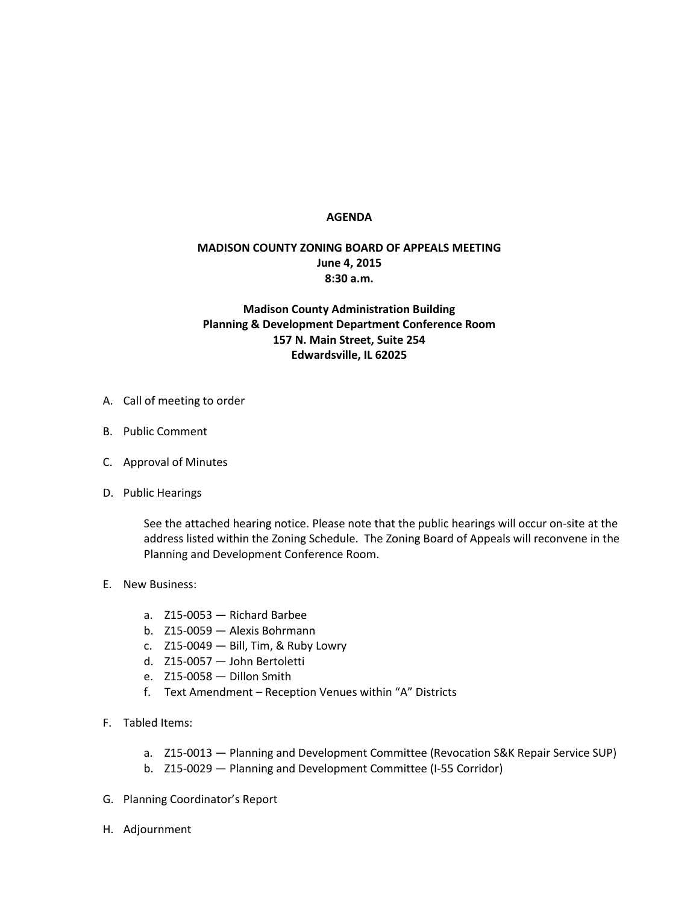## **AGENDA**

## **MADISON COUNTY ZONING BOARD OF APPEALS MEETING June 4, 2015 8:30 a.m.**

## **Madison County Administration Building Planning & Development Department Conference Room 157 N. Main Street, Suite 254 Edwardsville, IL 62025**

- A. Call of meeting to order
- B. Public Comment
- C. Approval of Minutes
- D. Public Hearings

See the attached hearing notice. Please note that the public hearings will occur on-site at the address listed within the Zoning Schedule. The Zoning Board of Appeals will reconvene in the Planning and Development Conference Room.

- E. New Business:
	- a. Z15-0053 Richard Barbee
	- b. Z15-0059 Alexis Bohrmann
	- c. Z15-0049 Bill, Tim, & Ruby Lowry
	- d. Z15-0057 John Bertoletti
	- e. Z15-0058 Dillon Smith
	- f. Text Amendment Reception Venues within "A" Districts
- F. Tabled Items:
	- a. Z15-0013 Planning and Development Committee (Revocation S&K Repair Service SUP)
	- b. Z15-0029 Planning and Development Committee (I-55 Corridor)
- G. Planning Coordinator's Report
- H. Adjournment